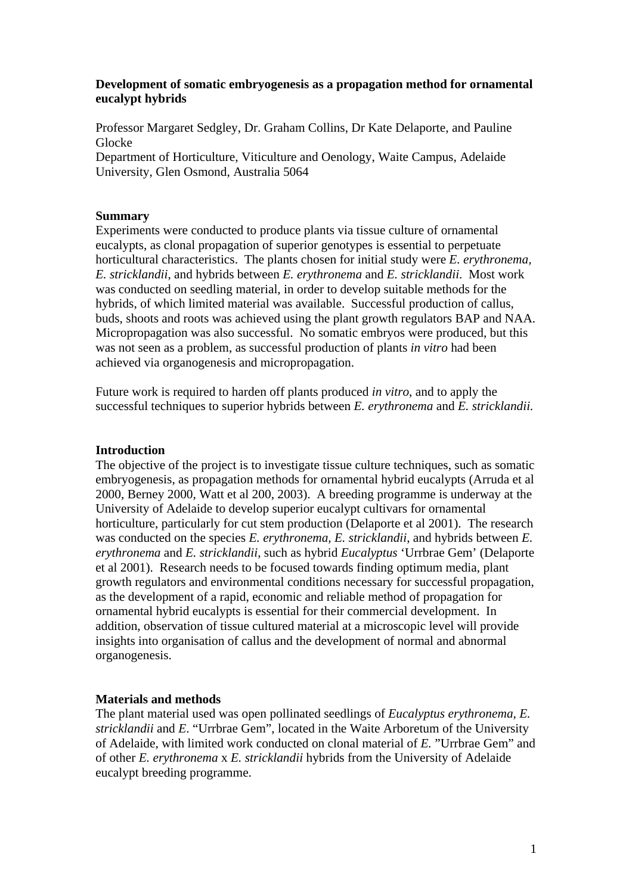# **Development of somatic embryogenesis as a propagation method for ornamental eucalypt hybrids**

Professor Margaret Sedgley, Dr. Graham Collins, Dr Kate Delaporte, and Pauline Glocke

Department of Horticulture, Viticulture and Oenology, Waite Campus, Adelaide University, Glen Osmond, Australia 5064

## **Summary**

Experiments were conducted to produce plants via tissue culture of ornamental eucalypts, as clonal propagation of superior genotypes is essential to perpetuate horticultural characteristics. The plants chosen for initial study were *E. erythronema, E. stricklandii*, and hybrids between *E. erythronema* and *E. stricklandii*. Most work was conducted on seedling material*,* in order to develop suitable methods for the hybrids, of which limited material was available. Successful production of callus, buds, shoots and roots was achieved using the plant growth regulators BAP and NAA. Micropropagation was also successful. No somatic embryos were produced, but this was not seen as a problem, as successful production of plants *in vitro* had been achieved via organogenesis and micropropagation.

Future work is required to harden off plants produced *in vitro*, and to apply the successful techniques to superior hybrids between *E. erythronema* and *E. stricklandii.*

### **Introduction**

The objective of the project is to investigate tissue culture techniques, such as somatic embryogenesis, as propagation methods for ornamental hybrid eucalypts (Arruda et al 2000, Berney 2000, Watt et al 200, 2003). A breeding programme is underway at the University of Adelaide to develop superior eucalypt cultivars for ornamental horticulture, particularly for cut stem production (Delaporte et al 2001). The research was conducted on the species *E. erythronema, E. stricklandii*, and hybrids between *E. erythronema* and *E. stricklandii*, such as hybrid *Eucalyptus* 'Urrbrae Gem' (Delaporte et al 2001). Research needs to be focused towards finding optimum media, plant growth regulators and environmental conditions necessary for successful propagation, as the development of a rapid, economic and reliable method of propagation for ornamental hybrid eucalypts is essential for their commercial development. In addition, observation of tissue cultured material at a microscopic level will provide insights into organisation of callus and the development of normal and abnormal organogenesis.

# **Materials and methods**

The plant material used was open pollinated seedlings of *Eucalyptus erythronema, E. stricklandii* and *E*. "Urrbrae Gem", located in the Waite Arboretum of the University of Adelaide, with limited work conducted on clonal material of *E.* "Urrbrae Gem" and of other *E. erythronema* x *E. stricklandii* hybrids from the University of Adelaide eucalypt breeding programme.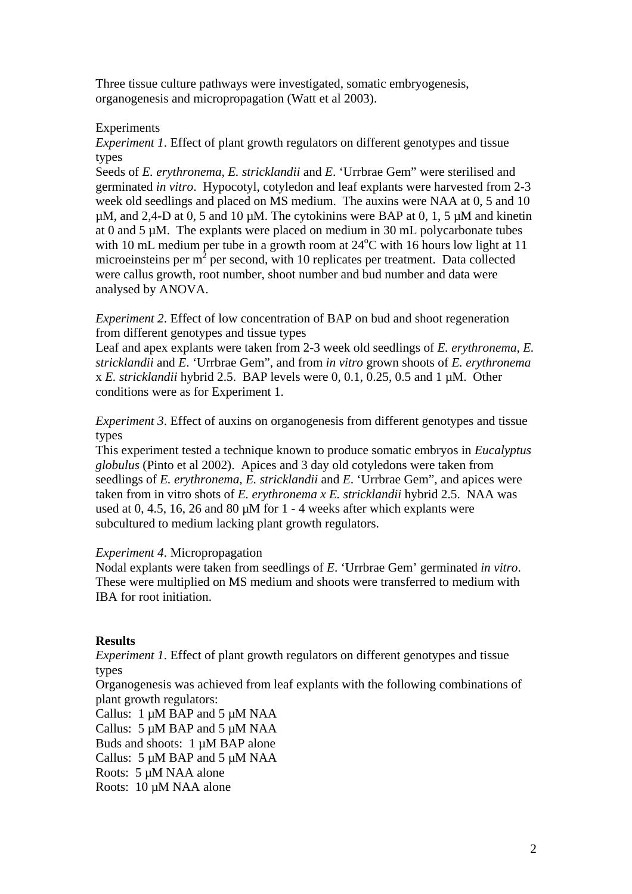Three tissue culture pathways were investigated, somatic embryogenesis, organogenesis and micropropagation (Watt et al 2003).

# Experiments

*Experiment 1*. Effect of plant growth regulators on different genotypes and tissue types

Seeds of *E. erythronema, E. stricklandii* and *E*. 'Urrbrae Gem" were sterilised and germinated *in vitro*. Hypocotyl, cotyledon and leaf explants were harvested from 2-3 week old seedlings and placed on MS medium. The auxins were NAA at 0, 5 and 10  $\mu$ M, and 2,4-D at 0, 5 and 10  $\mu$ M. The cytokinins were BAP at 0, 1, 5  $\mu$ M and kinetin at 0 and 5 µM. The explants were placed on medium in 30 mL polycarbonate tubes with 10 mL medium per tube in a growth room at  $24^{\circ}$ C with 16 hours low light at 11 microeinsteins per  $m^2$  per second, with 10 replicates per treatment. Data collected were callus growth, root number, shoot number and bud number and data were analysed by ANOVA.

*Experiment 2*. Effect of low concentration of BAP on bud and shoot regeneration from different genotypes and tissue types

Leaf and apex explants were taken from 2-3 week old seedlings of *E. erythronema, E. stricklandii* and *E*. 'Urrbrae Gem", and from *in vitro* grown shoots of *E. erythronema* x *E. stricklandii* hybrid 2.5. BAP levels were 0, 0.1, 0.25, 0.5 and 1 µM. Other conditions were as for Experiment 1.

*Experiment 3.* Effect of auxins on organogenesis from different genotypes and tissue types

This experiment tested a technique known to produce somatic embryos in *Eucalyptus globulus* (Pinto et al 2002). Apices and 3 day old cotyledons were taken from seedlings of *E. erythronema, E. stricklandii* and *E*. 'Urrbrae Gem", and apices were taken from in vitro shots of *E. erythronema x E. stricklandii* hybrid 2.5. NAA was used at 0, 4.5, 16, 26 and 80  $\mu$ M for 1 - 4 weeks after which explants were subcultured to medium lacking plant growth regulators.

# *Experiment 4*. Micropropagation

Nodal explants were taken from seedlings of *E*. 'Urrbrae Gem' germinated *in vitro*. These were multiplied on MS medium and shoots were transferred to medium with IBA for root initiation.

# **Results**

*Experiment 1*. Effect of plant growth regulators on different genotypes and tissue types

Organogenesis was achieved from leaf explants with the following combinations of plant growth regulators:

Callus:  $1 \mu M$  BAP and  $5 \mu M$  NAA Callus:  $5 \mu M$  BAP and  $5 \mu M$  NAA Buds and shoots: 1  $\mu$ M BAP alone Callus:  $5 \mu M$  BAP and  $5 \mu M$  NAA Roots: 5 µM NAA alone

Roots: 10 µM NAA alone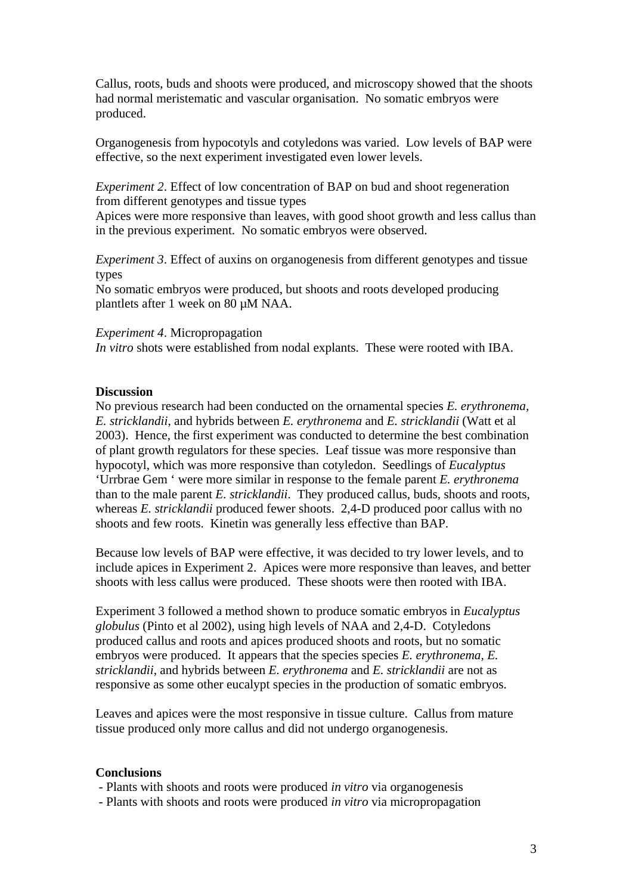Callus, roots, buds and shoots were produced, and microscopy showed that the shoots had normal meristematic and vascular organisation. No somatic embryos were produced.

Organogenesis from hypocotyls and cotyledons was varied. Low levels of BAP were effective, so the next experiment investigated even lower levels.

*Experiment 2*. Effect of low concentration of BAP on bud and shoot regeneration from different genotypes and tissue types

Apices were more responsive than leaves, with good shoot growth and less callus than in the previous experiment. No somatic embryos were observed.

*Experiment 3*. Effect of auxins on organogenesis from different genotypes and tissue types

No somatic embryos were produced, but shoots and roots developed producing plantlets after 1 week on 80 µM NAA.

*Experiment 4*. Micropropagation *In vitro* shots were established from nodal explants. These were rooted with IBA.

### **Discussion**

No previous research had been conducted on the ornamental species *E. erythronema, E. stricklandii*, and hybrids between *E. erythronema* and *E. stricklandii* (Watt et al 2003). Hence, the first experiment was conducted to determine the best combination of plant growth regulators for these species. Leaf tissue was more responsive than hypocotyl, which was more responsive than cotyledon. Seedlings of *Eucalyptus* 'Urrbrae Gem ' were more similar in response to the female parent *E. erythronema* than to the male parent *E. stricklandii*. They produced callus, buds, shoots and roots, whereas *E. stricklandii* produced fewer shoots. 2,4-D produced poor callus with no shoots and few roots. Kinetin was generally less effective than BAP.

Because low levels of BAP were effective, it was decided to try lower levels, and to include apices in Experiment 2. Apices were more responsive than leaves, and better shoots with less callus were produced. These shoots were then rooted with IBA.

Experiment 3 followed a method shown to produce somatic embryos in *Eucalyptus globulus* (Pinto et al 2002), using high levels of NAA and 2,4-D. Cotyledons produced callus and roots and apices produced shoots and roots, but no somatic embryos were produced. It appears that the species species *E. erythronema, E. stricklandii*, and hybrids between *E. erythronema* and *E. stricklandii* are not as responsive as some other eucalypt species in the production of somatic embryos.

Leaves and apices were the most responsive in tissue culture. Callus from mature tissue produced only more callus and did not undergo organogenesis.

## **Conclusions**

- Plants with shoots and roots were produced *in vitro* via organogenesis

- Plants with shoots and roots were produced *in vitro* via micropropagation